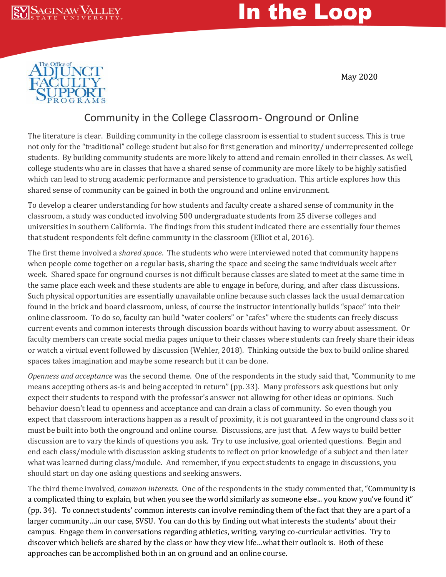

# In the Loop



May 2020

## Community in the College Classroom- Onground or Online

The literature is clear. Building community in the college classroom is essential to student success. This is true not only for the "traditional" college student but also for first generation and minority/ underrepresented college students. By building community students are more likely to attend and remain enrolled in their classes. As well, college students who are in classes that have a shared sense of community are more likely to be highly satisfied which can lead to strong academic performance and persistence to graduation. This article explores how this shared sense of community can be gained in both the onground and online environment.

To develop a clearer understanding for how students and faculty create a shared sense of community in the classroom, a study was conducted involving 500 undergraduate students from 25 diverse colleges and universities in southern California. The findings from this student indicated there are essentially four themes that student respondents felt define community in the classroom (Elliot et al, 2016).

The first theme involved a *shared space*. The students who were interviewed noted that community happens when people come together on a regular basis, sharing the space and seeing the same individuals week after week. Shared space for onground courses is not difficult because classes are slated to meet at the same time in the same place each week and these students are able to engage in before, during, and after class discussions. Such physical opportunities are essentially unavailable online because such classes lack the usual demarcation found in the brick and board classroom, unless, of course the instructor intentionally builds "space" into their online classroom. To do so, faculty can build "water coolers" or "cafes" where the students can freely discuss current events and common interests through discussion boards without having to worry about assessment. Or faculty members can create social media pages unique to their classes where students can freely share their ideas or watch a virtual event followed by discussion (Wehler, 2018). Thinking outside the box to build online shared spaces takes imagination and maybe some research but it can be done.

*Openness and acceptance* was the second theme. One of the respondents in the study said that, "Community to me means accepting others as-is and being accepted in return" (pp. 33). Many professors ask questions but only expect their students to respond with the professor's answer not allowing for other ideas or opinions. Such behavior doesn't lead to openness and acceptance and can drain a class of community. So even though you expect that classroom interactions happen as a result of proximity, it is not guaranteed in the onground class so it must be built into both the onground and online course. Discussions, are just that. A few ways to build better discussion are to vary the kinds of questions you ask. Try to use inclusive, goal oriented questions. Begin and end each class/module with discussion asking students to reflect on prior knowledge of a subject and then later what was learned during class/module. And remember, if you expect students to engage in discussions, you should start on day one asking questions and seeking answers.

The third theme involved, *common interests*. One of the respondents in the study commented that, "Community is a complicated thing to explain, but when you see the world similarly as someone else... you know you've found it" (pp. 34). To connect students' common interests can involve reminding them of the fact that they are a part of a larger community…in our case, SVSU. You can do this by finding out what interests the students' about their campus. Engage them in conversations regarding athletics, writing, varying co-curricular activities. Try to discover which beliefs are shared by the class or how they view life…what their outlook is. Both of these approaches can be accomplished both in an on ground and an online course.